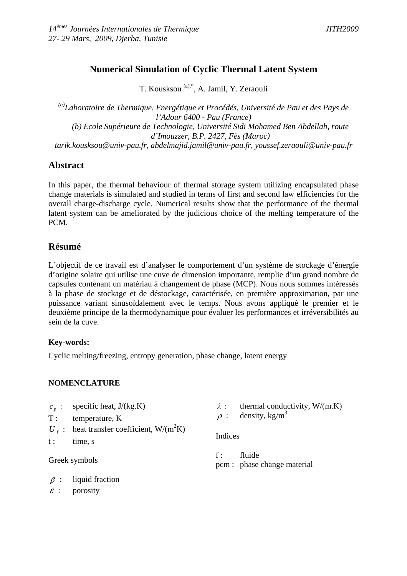# **Numerical Simulation of Cyclic Thermal Latent System**

T. Kousksou (a),\*, A. Jamil, Y. Zeraouli

*(a)Laboratoire de Thermique, Energétique et Procédés, Université de Pau et des Pays de l'Adour 6400 - Pau (France) (b) Ecole Supérieure de Technologie, Université Sidi Mohamed Ben Abdellah, route d'Imouzzer, B.P. 2427, Fès (Maroc) tarik.kousksou@univ-pau.fr, abdelmajid.jamil@univ-pau.fr, youssef.zeraouli@univ-pau.fr*

## **Abstract**

In this paper, the thermal behaviour of thermal storage system utilizing encapsulated phase change materials is simulated and studied in terms of first and second law efficiencies for the overall charge-discharge cycle. Numerical results show that the performance of the thermal latent system can be ameliorated by the judicious choice of the melting temperature of the PCM.

# **Résumé**

L'objectif de ce travail est d'analyser le comportement d'un système de stockage d'énergie d'origine solaire qui utilise une cuve de dimension importante, remplie d'un grand nombre de capsules contenant un matériau à changement de phase (MCP). Nous nous sommes intéressés à la phase de stockage et de déstockage, caractérisée, en première approximation, par une puissance variant sinusoïdalement avec le temps. Nous avons appliqué le premier et le deuxième principe de la thermodynamique pour évaluer les performances et irréversibilités au sein de la cuve.

## **Key-words:**

Cyclic melting/freezing, entropy generation, phase change, latent energy

## **NOMENCLATURE**

- $c_p$  : specific heat,  $J/(kg.K)$
- T : temperature, K
- $U_f$ : heat transfer coefficient, W/(m<sup>2</sup>K)
- t : time, s

Greek symbols

- $\lambda$  : thermal conductivity, W/(m.K)
- $\rho$  : density, kg/m<sup>3</sup>

Indices

f: fluide pcm : phase change material

- $\beta$  : liquid fraction
- $\epsilon$  : porosity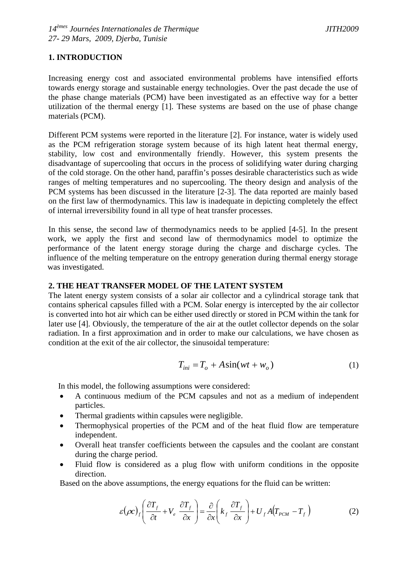### **1. INTRODUCTION**

Increasing energy cost and associated environmental problems have intensified efforts towards energy storage and sustainable energy technologies. Over the past decade the use of the phase change materials (PCM) have been investigated as an effective way for a better utilization of the thermal energy [1]. These systems are based on the use of phase change materials (PCM).

Different PCM systems were reported in the literature [2]. For instance, water is widely used as the PCM refrigeration storage system because of its high latent heat thermal energy, stability, low cost and environmentally friendly. However, this system presents the disadvantage of supercooling that occurs in the process of solidifying water during charging of the cold storage. On the other hand, paraffin's posses desirable characteristics such as wide ranges of melting temperatures and no supercooling. The theory design and analysis of the PCM systems has been discussed in the literature [2-3]. The data reported are mainly based on the first law of thermodynamics. This law is inadequate in depicting completely the effect of internal irreversibility found in all type of heat transfer processes.

In this sense, the second law of thermodynamics needs to be applied [4-5]. In the present work, we apply the first and second law of thermodynamics model to optimize the performance of the latent energy storage during the charge and discharge cycles. The influence of the melting temperature on the entropy generation during thermal energy storage was investigated.

#### **2. THE HEAT TRANSFER MODEL OF THE LATENT SYSTEM**

The latent energy system consists of a solar air collector and a cylindrical storage tank that contains spherical capsules filled with a PCM. Solar energy is intercepted by the air collector is converted into hot air which can be either used directly or stored in PCM within the tank for later use [4]. Obviously, the temperature of the air at the outlet collector depends on the solar radiation. In a first approximation and in order to make our calculations, we have chosen as condition at the exit of the air collector, the sinusoidal temperature:

$$
T_{ini} = T_o + A\sin(wt + w_o)
$$
 (1)

In this model, the following assumptions were considered:

- A continuous medium of the PCM capsules and not as a medium of independent particles.
- Thermal gradients within capsules were negligible.
- Thermophysical properties of the PCM and of the heat fluid flow are temperature independent.
- Overall heat transfer coefficients between the capsules and the coolant are constant during the charge period.
- Fluid flow is considered as a plug flow with uniform conditions in the opposite direction.

Based on the above assumptions, the energy equations for the fluid can be written:

$$
\varepsilon(\rho c)_f \left( \frac{\partial T_f}{\partial t} + V_e \frac{\partial T_f}{\partial x} \right) = \frac{\partial}{\partial x} \left( k_f \frac{\partial T_f}{\partial x} \right) + U_f A (T_{PCM} - T_f)
$$
(2)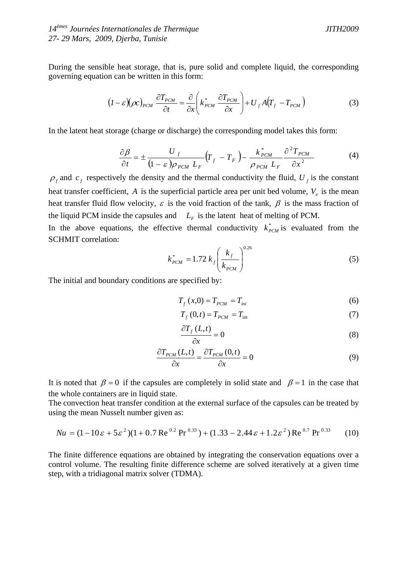During the sensible heat storage, that is, pure solid and complete liquid, the corresponding governing equation can be written in this form:

$$
(I - \varepsilon)(\rho c)_{\rho_{CM}} \frac{\partial T_{\rho_{CM}}}{\partial t} = \frac{\partial}{\partial x} \left( k_{\rho_{CM}}^* \frac{\partial T_{\rho_{CM}}}{\partial x} \right) + U_f A (T_f - T_{\rho_{CM}})
$$
(3)

In the latent heat storage (charge or discharge) the corresponding model takes this form:

$$
\frac{\partial \beta}{\partial t} = \pm \frac{U_f}{(1 - \varepsilon) \rho_{PCM} L_F} \left( T_f - T_F \right) - \frac{k_{PCM}^*}{\rho_{PCM} L_F} \frac{\partial^2 T_{PCM}}{\partial x^2}
$$
(4)

 $\rho_f$  and  $c_f$  respectively the density and the thermal conductivity the fluid,  $U_f$  is the constant heat transfer coefficient,  $\vec{A}$  is the superficial particle area per unit bed volume,  $V_{\alpha}$  is the mean heat transfer fluid flow velocity,  $\varepsilon$  is the void fraction of the tank,  $\beta$  is the mass fraction of the liquid PCM inside the capsules and  $L_F$  is the latent heat of melting of PCM.

In the above equations, the effective thermal conductivity  $k_{p\text{CM}}^*$  is evaluated from the SCHMIT correlation:

$$
k_{PCM}^* = 1.72 k_f \left(\frac{k_f}{k_{PCM}}\right)^{0.26}
$$
 (5)

The initial and boundary conditions are specified by:

$$
T_f(x,0) = T_{p\text{CM}} = T_{\text{ini}} \tag{6}
$$

$$
T_f(0,t) = T_{PCM} = T_{\text{int}}
$$
\n
$$
(7)
$$

$$
\frac{\partial T_f(L,t)}{\partial x} = 0\tag{8}
$$

$$
\frac{\partial T_{p_{CM}}(L,t)}{\partial x} = \frac{\partial T_{p_{CM}}(0,t)}{\partial x} = 0
$$
\n(9)

It is noted that  $\beta = 0$  if the capsules are completely in solid state and  $\beta = 1$  in the case that the whole containers are in liquid state.

The convection heat transfer condition at the external surface of the capsules can be treated by using the mean Nusselt number given as:

$$
Nu = (1 - 10\varepsilon + 5\varepsilon^2)(1 + 0.7 \text{ Re}^{0.2} \text{ Pr}^{0.33}) + (1.33 - 2.44\varepsilon + 1.2\varepsilon^2) \text{ Re}^{0.7} \text{ Pr}^{0.33}
$$
 (10)

The finite difference equations are obtained by integrating the conservation equations over a control volume. The resulting finite difference scheme are solved iteratively at a given time step, with a tridiagonal matrix solver (TDMA).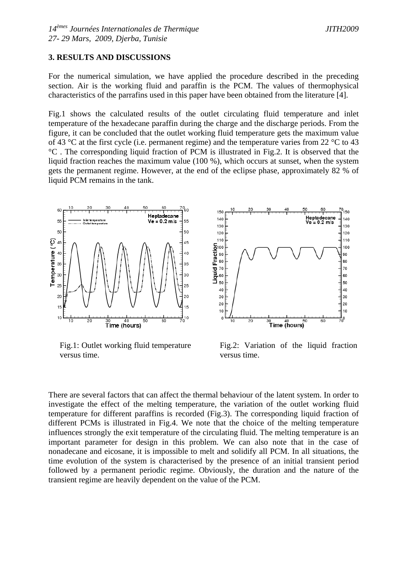#### **3. RESULTS AND DISCUSSIONS**

For the numerical simulation, we have applied the procedure described in the preceding section. Air is the working fluid and paraffin is the PCM. The values of thermophysical characteristics of the parrafins used in this paper have been obtained from the literature [4].

Fig.1 shows the calculated results of the outlet circulating fluid temperature and inlet temperature of the hexadecane paraffin during the charge and the discharge periods. From the figure, it can be concluded that the outlet working fluid temperature gets the maximum value of 43 °C at the first cycle (i.e. permanent regime) and the temperature varies from 22 °C to 43 °C . The corresponding liquid fraction of PCM is illustrated in Fig.2. It is observed that the liquid fraction reaches the maximum value (100 %), which occurs at sunset, when the system gets the permanent regime. However, at the end of the eclipse phase, approximately 82 % of liquid PCM remains in the tank.



Fig.1: Outlet working fluid temperature versus time.



Fig.2: Variation of the liquid fraction versus time.

There are several factors that can affect the thermal behaviour of the latent system. In order to investigate the effect of the melting temperature, the variation of the outlet working fluid temperature for different paraffins is recorded (Fig.3). The corresponding liquid fraction of different PCMs is illustrated in Fig.4. We note that the choice of the melting temperature influences strongly the exit temperature of the circulating fluid. The melting temperature is an important parameter for design in this problem. We can also note that in the case of nonadecane and eicosane, it is impossible to melt and solidify all PCM. In all situations, the time evolution of the system is characterised by the presence of an initial transient period followed by a permanent periodic regime. Obviously, the duration and the nature of the transient regime are heavily dependent on the value of the PCM.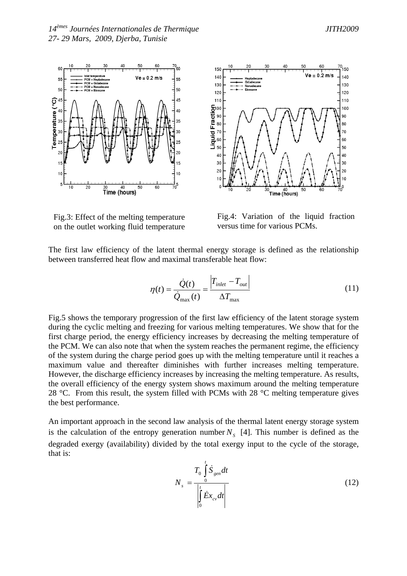

60 150  $Ve = 0.2 m/s$ 140 140 130 130 120 120  $110$  $110$ Fraction 100 90 80  $70$  $70$ Iquid 60 60 50 50  $40$ 40 30 30  $20$  $20^{1}$  $10$  $\mathbf{0}$  $\overline{1}$  Time (hours) 1C  $\overline{20}$ 50

Fig.3: Effect of the melting temperature on the outlet working fluid temperature

Fig.4: Variation of the liquid fraction versus time for various PCMs.

The first law efficiency of the latent thermal energy storage is defined as the relationship between transferred heat flow and maximal transferable heat flow:

$$
\eta(t) = \frac{\dot{Q}(t)}{\dot{Q}_{\text{max}}(t)} = \frac{\left|T_{\text{inlet}} - T_{\text{out}}\right|}{\Delta T_{\text{max}}}
$$
(11)

Fig.5 shows the temporary progression of the first law efficiency of the latent storage system during the cyclic melting and freezing for various melting temperatures. We show that for the first charge period, the energy efficiency increases by decreasing the melting temperature of the PCM. We can also note that when the system reaches the permanent regime, the efficiency of the system during the charge period goes up with the melting temperature until it reaches a maximum value and thereafter diminishes with further increases melting temperature. However, the discharge efficiency increases by increasing the melting temperature. As results, the overall efficiency of the energy system shows maximum around the melting temperature 28 °C. From this result, the system filled with PCMs with 28 °C melting temperature gives the best performance.

An important approach in the second law analysis of the thermal latent energy storage system is the calculation of the entropy generation number  $N<sub>s</sub>$  [4]. This number is defined as the degraded exergy (availability) divided by the total exergy input to the cycle of the storage, that is:

$$
N_s = \frac{T_0 \int_0^t \dot{S}_{gen} dt}{\left|\int_0^t \dot{E}x_{cv} dt\right|}
$$
(12)